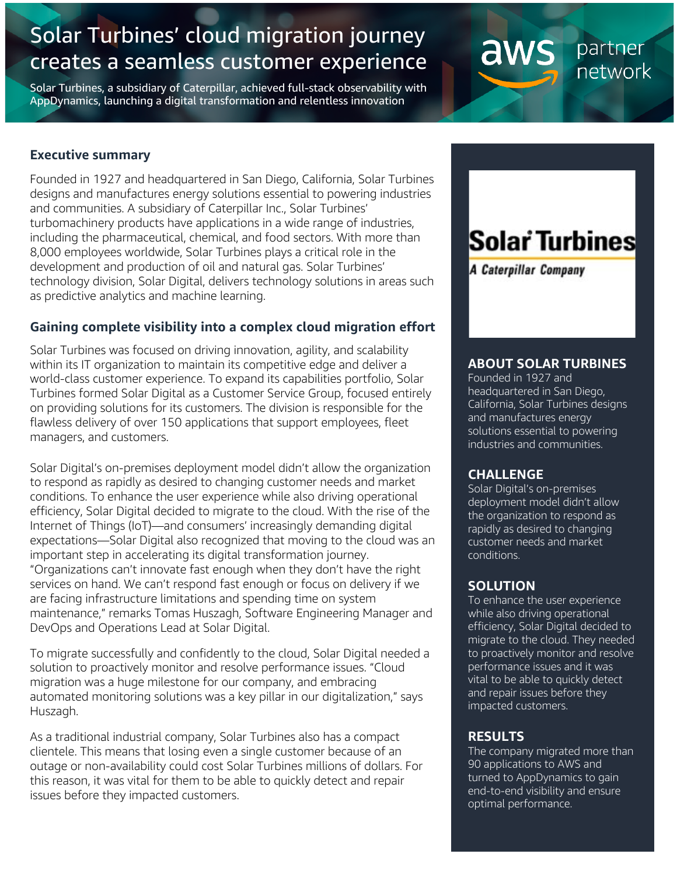# Solar Turbines' cloud migration journey creates a seamless customer experience

Solar Turbines, a subsidiary of Caterpillar, achieved full-stack observability with AppDynamics, launching a digital transformation and relentless innovation

#### **Executive summary**

Founded in 1927 and headquartered in San Diego, California, Solar Turbines designs and manufactures energy solutions essential to powering industries and communities. A subsidiary of Caterpillar Inc., Solar Turbines' turbomachinery products have applications in a wide range of industries, including the pharmaceutical, chemical, and food sectors. With more than 8,000 employees worldwide, Solar Turbines plays a critical role in the development and production of oil and natural gas. Solar Turbines' technology division, Solar Digital, delivers technology solutions in areas such as predictive analytics and machine learning.

# **Gaining complete visibility into a complex cloud migration effort**

Solar Turbines was focused on driving innovation, agility, and scalability within its IT organization to maintain its competitive edge and deliver a world-class customer experience. To expand its capabilities portfolio, Solar Turbines formed Solar Digital as a Customer Service Group, focused entirely on providing solutions for its customers. The division is responsible for the flawless delivery of over 150 applications that support employees, fleet managers, and customers.

Solar Digital's on-premises deployment model didn't allow the organization to respond as rapidly as desired to changing customer needs and market conditions. To enhance the user experience while also driving operational efficiency, Solar Digital decided to migrate to the cloud. With the rise of the Internet of Things (IoT)—and consumers' increasingly demanding digital expectations—Solar Digital also recognized that moving to the cloud was an important step in accelerating its digital transformation journey. "Organizations can't innovate fast enough when they don't have the right services on hand. We can't respond fast enough or focus on delivery if we are facing infrastructure limitations and spending time on system maintenance," remarks Tomas Huszagh, Software Engineering Manager and DevOps and Operations Lead at Solar Digital.

To migrate successfully and confidently to the cloud, Solar Digital needed a solution to proactively monitor and resolve performance issues. "Cloud migration was a huge milestone for our company, and embracing automated monitoring solutions was a key pillar in our digitalization," says Huszagh.

As a traditional industrial company, Solar Turbines also has a compact clientele. This means that losing even a single customer because of an outage or non-availability could cost Solar Turbines millions of dollars. For this reason, it was vital for them to be able to quickly detect and repair issues before they impacted customers.

# Solar Turbines

A Caterpillar Company

aws

partner network

# **ABOUT SOLAR TURBINES**

Founded in 1927 and headquartered in San Diego, California, Solar Turbines designs and manufactures energy solutions essential to powering industries and communities.

#### **CHALLENGE**

Solar Digital's on-premises deployment model didn't allow the organization to respond as rapidly as desired to changing customer needs and market conditions.

#### **SOLUTION**

To enhance the user experience while also driving operational efficiency, Solar Digital decided to migrate to the cloud. They needed to proactively monitor and resolve performance issues and it was vital to be able to quickly detect and repair issues before they impacted customers.

# **RESULTS**

The company migrated more than 90 applications to AWS and turned to AppDynamics to gain end-to-end visibility and ensure optimal performance.